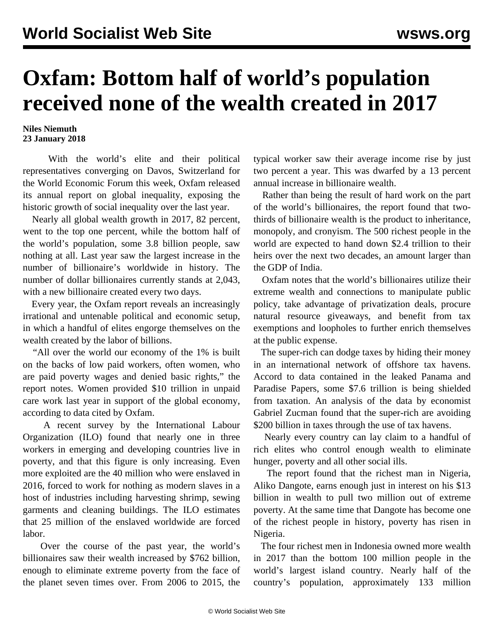## **Oxfam: Bottom half of world's population received none of the wealth created in 2017**

## **Niles Niemuth 23 January 2018**

 With the world's elite and their political representatives converging on Davos, Switzerland for the World Economic Forum this week, Oxfam released its annual report on global inequality, exposing the historic growth of social inequality over the last year.

 Nearly all global wealth growth in 2017, 82 percent, went to the top one percent, while the bottom half of the world's population, some 3.8 billion people, saw nothing at all. Last year saw the largest increase in the number of billionaire's worldwide in history. The number of dollar billionaires currently stands at 2,043, with a new billionaire created every two days.

 Every year, the Oxfam report reveals an increasingly irrational and untenable political and economic setup, in which a handful of elites engorge themselves on the wealth created by the labor of billions.

 "All over the world our economy of the 1% is built on the backs of low paid workers, often women, who are paid poverty wages and denied basic rights," the report notes. Women provided \$10 trillion in unpaid care work last year in support of the global economy, according to data cited by Oxfam.

 A recent survey by the International Labour Organization (ILO) found that nearly one in three workers in emerging and developing countries live in poverty, and that this figure is only increasing. Even more exploited are the 40 million who were enslaved in 2016, forced to work for nothing as modern slaves in a host of industries including harvesting shrimp, sewing garments and cleaning buildings. The ILO estimates that 25 million of the enslaved worldwide are forced labor.

 Over the course of the past year, the world's billionaires saw their wealth increased by \$762 billion, enough to eliminate extreme poverty from the face of the planet seven times over. From 2006 to 2015, the typical worker saw their average income rise by just two percent a year. This was dwarfed by a 13 percent annual increase in billionaire wealth.

 Rather than being the result of hard work on the part of the world's billionaires, the report found that twothirds of billionaire wealth is the product to inheritance, monopoly, and cronyism. The 500 richest people in the world are expected to hand down \$2.4 trillion to their heirs over the next two decades, an amount larger than the GDP of India.

 Oxfam notes that the world's billionaires utilize their extreme wealth and connections to manipulate public policy, take advantage of privatization deals, procure natural resource giveaways, and benefit from tax exemptions and loopholes to further enrich themselves at the public expense.

 The super-rich can dodge taxes by hiding their money in an international network of offshore tax havens. Accord to data contained in the leaked Panama and Paradise Papers, some \$7.6 trillion is being shielded from taxation. An analysis of the data by economist Gabriel Zucman found that the super-rich are avoiding \$200 billion in taxes through the use of tax havens.

 Nearly every country can lay claim to a handful of rich elites who control enough wealth to eliminate hunger, poverty and all other social ills.

 The report found that the richest man in Nigeria, Aliko Dangote, earns enough just in interest on his \$13 billion in wealth to pull two million out of extreme poverty. At the same time that Dangote has become one of the richest people in history, poverty has risen in Nigeria.

 The four richest men in Indonesia owned more wealth in 2017 than the bottom 100 million people in the world's largest island country. Nearly half of the country's population, approximately 133 million